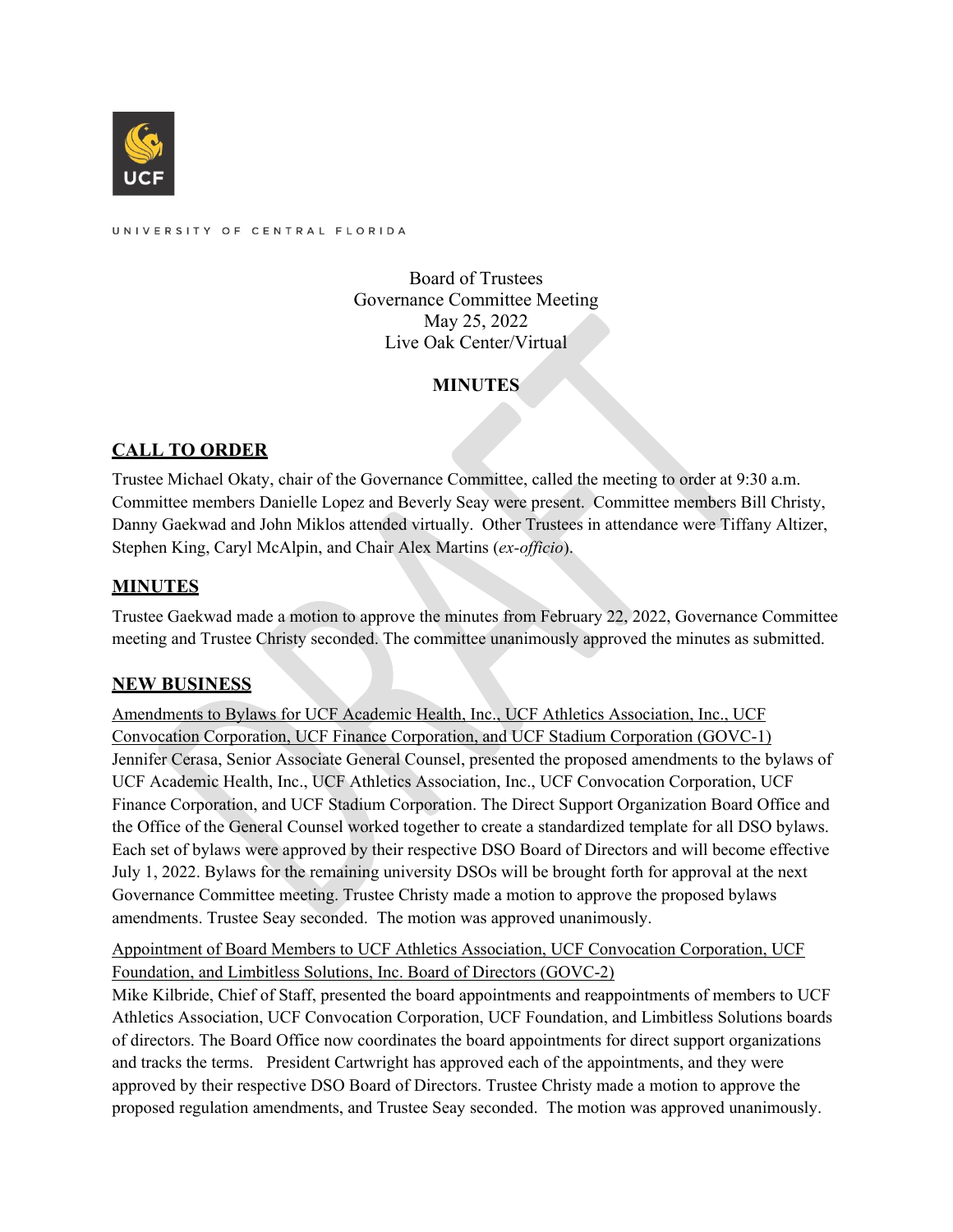

UNIVERSITY OF CENTRAL FLORIDA

Board of Trustees Governance Committee Meeting May 25, 2022 Live Oak Center/Virtual

# **MINUTES**

# **CALL TO ORDER**

Trustee Michael Okaty, chair of the Governance Committee, called the meeting to order at 9:30 a.m. Committee members Danielle Lopez and Beverly Seay were present. Committee members Bill Christy, Danny Gaekwad and John Miklos attended virtually. Other Trustees in attendance were Tiffany Altizer, Stephen King, Caryl McAlpin, and Chair Alex Martins (*ex-officio*).

## **MINUTES**

Trustee Gaekwad made a motion to approve the minutes from February 22, 2022, Governance Committee meeting and Trustee Christy seconded. The committee unanimously approved the minutes as submitted.

## **NEW BUSINESS**

Amendments to Bylaws for UCF Academic Health, Inc., UCF Athletics Association, Inc., UCF Convocation Corporation, UCF Finance Corporation, and UCF Stadium Corporation (GOVC-1) Jennifer Cerasa, Senior Associate General Counsel, presented the proposed amendments to the bylaws of UCF Academic Health, Inc., UCF Athletics Association, Inc., UCF Convocation Corporation, UCF Finance Corporation, and UCF Stadium Corporation. The Direct Support Organization Board Office and the Office of the General Counsel worked together to create a standardized template for all DSO bylaws. Each set of bylaws were approved by their respective DSO Board of Directors and will become effective July 1, 2022. Bylaws for the remaining university DSOs will be brought forth for approval at the next Governance Committee meeting. Trustee Christy made a motion to approve the proposed bylaws amendments. Trustee Seay seconded. The motion was approved unanimously.

Appointment of Board Members to UCF Athletics Association, UCF Convocation Corporation, UCF Foundation, and Limbitless Solutions, Inc. Board of Directors (GOVC-2)

Mike Kilbride, Chief of Staff, presented the board appointments and reappointments of members to UCF Athletics Association, UCF Convocation Corporation, UCF Foundation, and Limbitless Solutions boards of directors. The Board Office now coordinates the board appointments for direct support organizations and tracks the terms. President Cartwright has approved each of the appointments, and they were approved by their respective DSO Board of Directors. Trustee Christy made a motion to approve the proposed regulation amendments, and Trustee Seay seconded. The motion was approved unanimously.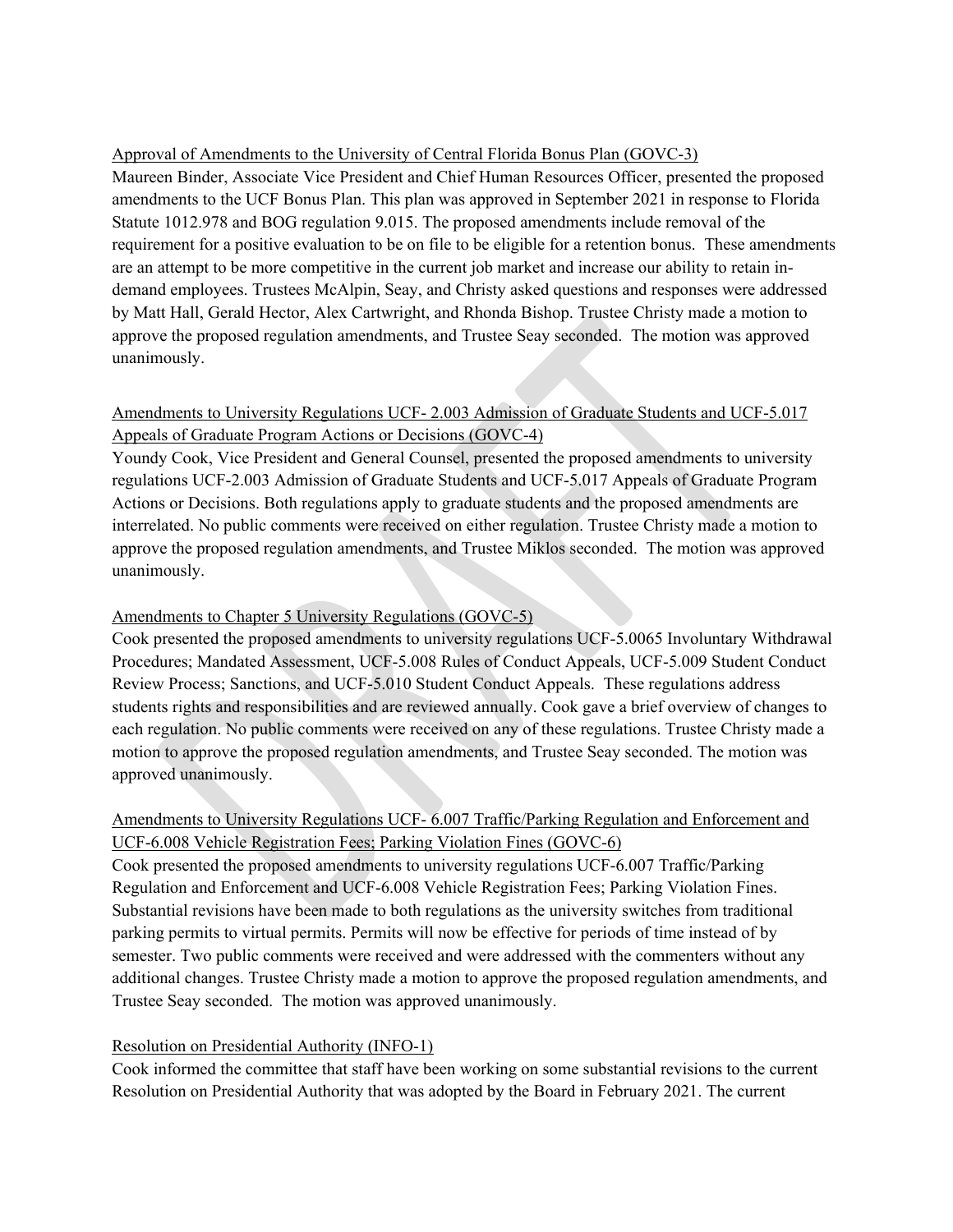#### Approval of Amendments to the University of Central Florida Bonus Plan (GOVC-3)

Maureen Binder, Associate Vice President and Chief Human Resources Officer, presented the proposed amendments to the UCF Bonus Plan. This plan was approved in September 2021 in response to Florida Statute 1012.978 and BOG regulation 9.015. The proposed amendments include removal of the requirement for a positive evaluation to be on file to be eligible for a retention bonus. These amendments are an attempt to be more competitive in the current job market and increase our ability to retain indemand employees. Trustees McAlpin, Seay, and Christy asked questions and responses were addressed by Matt Hall, Gerald Hector, Alex Cartwright, and Rhonda Bishop. Trustee Christy made a motion to approve the proposed regulation amendments, and Trustee Seay seconded. The motion was approved unanimously.

## Amendments to University Regulations UCF- 2.003 Admission of Graduate Students and UCF-5.017 Appeals of Graduate Program Actions or Decisions (GOVC-4)

Youndy Cook, Vice President and General Counsel, presented the proposed amendments to university regulations UCF-2.003 Admission of Graduate Students and UCF-5.017 Appeals of Graduate Program Actions or Decisions. Both regulations apply to graduate students and the proposed amendments are interrelated. No public comments were received on either regulation. Trustee Christy made a motion to approve the proposed regulation amendments, and Trustee Miklos seconded. The motion was approved unanimously.

### Amendments to Chapter 5 University Regulations (GOVC-5)

Cook presented the proposed amendments to university regulations UCF-5.0065 Involuntary Withdrawal Procedures; Mandated Assessment, UCF-5.008 Rules of Conduct Appeals, UCF-5.009 Student Conduct Review Process; Sanctions, and UCF-5.010 Student Conduct Appeals. These regulations address students rights and responsibilities and are reviewed annually. Cook gave a brief overview of changes to each regulation. No public comments were received on any of these regulations. Trustee Christy made a motion to approve the proposed regulation amendments, and Trustee Seay seconded. The motion was approved unanimously.

## Amendments to University Regulations UCF- 6.007 Traffic/Parking Regulation and Enforcement and UCF-6.008 Vehicle Registration Fees; Parking Violation Fines (GOVC-6)

Cook presented the proposed amendments to university regulations UCF-6.007 Traffic/Parking Regulation and Enforcement and UCF-6.008 Vehicle Registration Fees; Parking Violation Fines. Substantial revisions have been made to both regulations as the university switches from traditional parking permits to virtual permits. Permits will now be effective for periods of time instead of by semester. Two public comments were received and were addressed with the commenters without any additional changes. Trustee Christy made a motion to approve the proposed regulation amendments, and Trustee Seay seconded. The motion was approved unanimously.

### Resolution on Presidential Authority (INFO-1)

Cook informed the committee that staff have been working on some substantial revisions to the current Resolution on Presidential Authority that was adopted by the Board in February 2021. The current